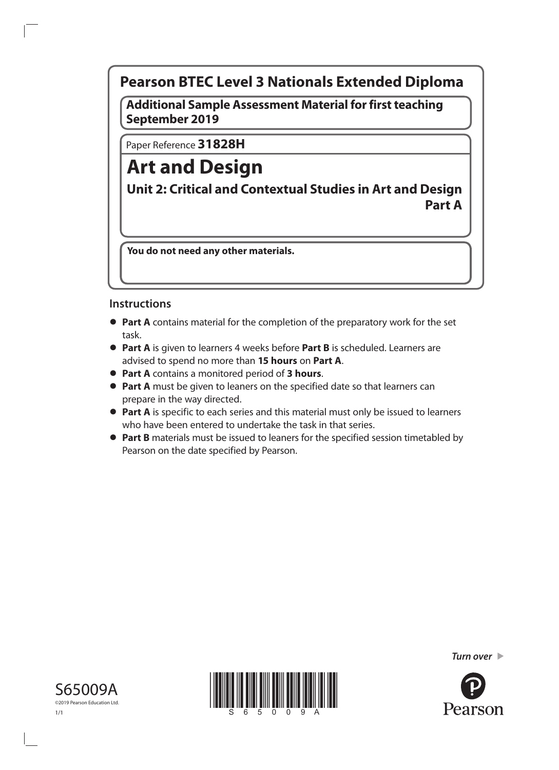# **Pearson BTEC Level 3 Nationals Extended Diploma**

**Additional Sample Assessment Material for first teaching September 2019**

Paper Reference **31828H**

# **Art and Design**

**Unit 2: Critical and Contextual Studies in Art and Design Part A**

**You do not need any other materials.**

## **Instructions**

- **• Part A** contains material for the completion of the preparatory work for the set task.
- **• Part A** is given to learners 4 weeks before **Part B** is scheduled. Learners are advised to spend no more than **15 hours** on **Part A**.
- **• Part A** contains a monitored period of **3 hours**.
- **• Part A** must be given to leaners on the specified date so that learners can prepare in the way directed.
- **• Part A** is specific to each series and this material must only be issued to learners who have been entered to undertake the task in that series.
- **• Part B** materials must be issued to leaners for the specified session timetabled by Pearson on the date specified by Pearson.

*Turn over* 





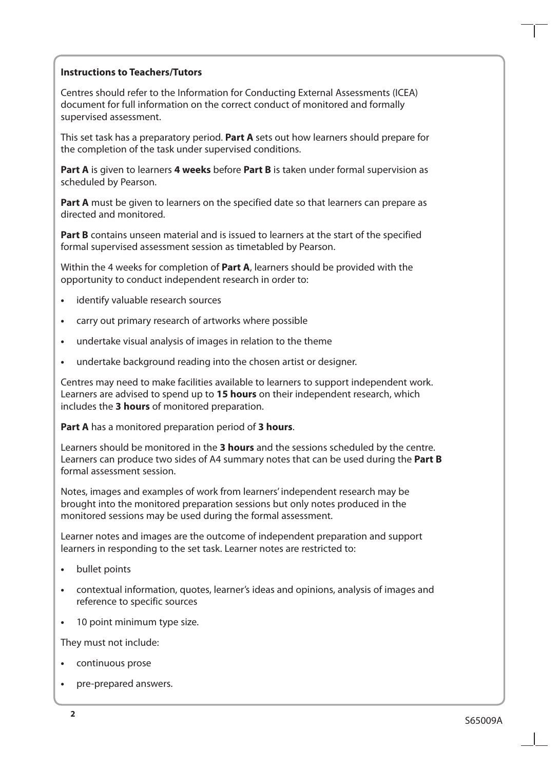#### **Instructions to Teachers/Tutors**

Centres should refer to the Information for Conducting External Assessments (ICEA) document for full information on the correct conduct of monitored and formally supervised assessment.

This set task has a preparatory period. **Part A** sets out how learners should prepare for the completion of the task under supervised conditions.

**Part A** is given to learners **4 weeks** before **Part B** is taken under formal supervision as scheduled by Pearson.

**Part A** must be given to learners on the specified date so that learners can prepare as directed and monitored.

**Part B** contains unseen material and is issued to learners at the start of the specified formal supervised assessment session as timetabled by Pearson.

Within the 4 weeks for completion of **Part A**, learners should be provided with the opportunity to conduct independent research in order to:

- **•** identify valuable research sources
- **•** carry out primary research of artworks where possible
- **•** undertake visual analysis of images in relation to the theme
- **•** undertake background reading into the chosen artist or designer.

Centres may need to make facilities available to learners to support independent work. Learners are advised to spend up to **15 hours** on their independent research, which includes the **3 hours** of monitored preparation.

**Part A** has a monitored preparation period of **3 hours**.

Learners should be monitored in the **3 hours** and the sessions scheduled by the centre. Learners can produce two sides of A4 summary notes that can be used during the **Part B** formal assessment session.

Notes, images and examples of work from learners' independent research may be brought into the monitored preparation sessions but only notes produced in the monitored sessions may be used during the formal assessment.

Learner notes and images are the outcome of independent preparation and support learners in responding to the set task. Learner notes are restricted to:

- **•** bullet points
- **•** contextual information, quotes, learner's ideas and opinions, analysis of images and reference to specific sources
- **•** 10 point minimum type size.

They must not include:

- **•** continuous prose
- **•** pre-prepared answers.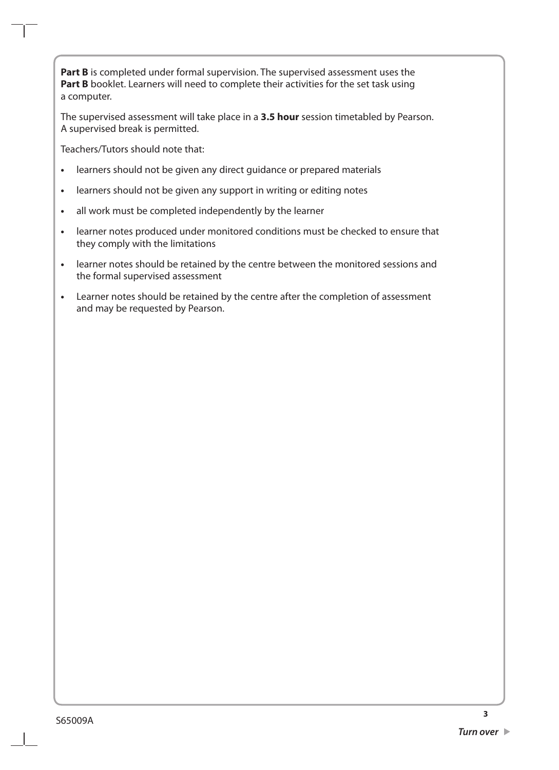Part B is completed under formal supervision. The supervised assessment uses the **Part B** booklet. Learners will need to complete their activities for the set task using a computer.

The supervised assessment will take place in a **3.5 hour** session timetabled by Pearson. A supervised break is permitted.

Teachers/Tutors should note that:

- **•** learners should not be given any direct guidance or prepared materials
- **•** learners should not be given any support in writing or editing notes
- **•** all work must be completed independently by the learner
- **•** learner notes produced under monitored conditions must be checked to ensure that they comply with the limitations
- **•** learner notes should be retained by the centre between the monitored sessions and the formal supervised assessment
- **•** Learner notes should be retained by the centre after the completion of assessment and may be requested by Pearson.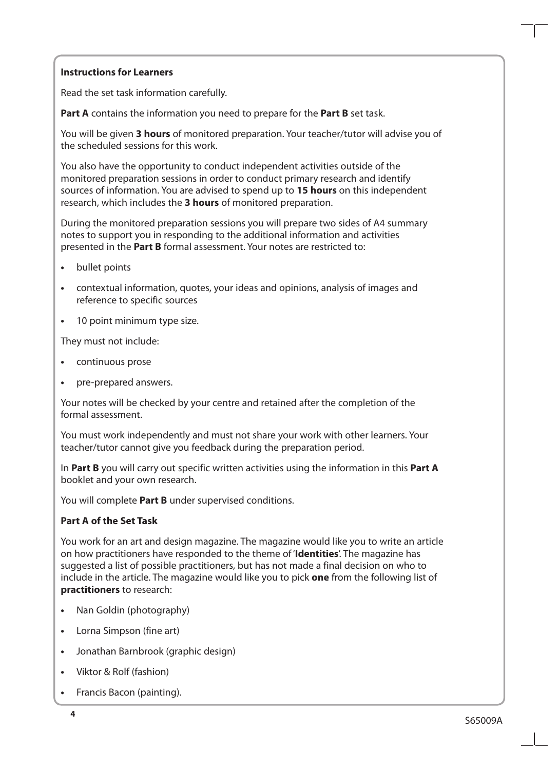#### **Instructions for Learners**

Read the set task information carefully.

**Part A** contains the information you need to prepare for the **Part B** set task.

You will be given **3 hours** of monitored preparation. Your teacher/tutor will advise you of the scheduled sessions for this work.

You also have the opportunity to conduct independent activities outside of the monitored preparation sessions in order to conduct primary research and identify sources of information. You are advised to spend up to **15 hours** on this independent research, which includes the **3 hours** of monitored preparation.

During the monitored preparation sessions you will prepare two sides of A4 summary notes to support you in responding to the additional information and activities presented in the **Part B** formal assessment. Your notes are restricted to:

- **•** bullet points
- **•** contextual information, quotes, your ideas and opinions, analysis of images and reference to specific sources
- **•** 10 point minimum type size.

They must not include:

- **•** continuous prose
- **•** pre-prepared answers.

Your notes will be checked by your centre and retained after the completion of the formal assessment.

You must work independently and must not share your work with other learners. Your teacher/tutor cannot give you feedback during the preparation period.

In **Part B** you will carry out specific written activities using the information in this **Part A** booklet and your own research.

You will complete **Part B** under supervised conditions.

### **Part A of the Set Task**

You work for an art and design magazine. The magazine would like you to write an article on how practitioners have responded to the theme of '**Identities**'. The magazine has suggested a list of possible practitioners, but has not made a final decision on who to include in the article. The magazine would like you to pick **one** from the following list of **practitioners** to research:

- **•** Nan Goldin (photography)
- **•** Lorna Simpson (fine art)
- **•** Jonathan Barnbrook (graphic design)
- **•** Viktor & Rolf (fashion)
- **•** Francis Bacon (painting).